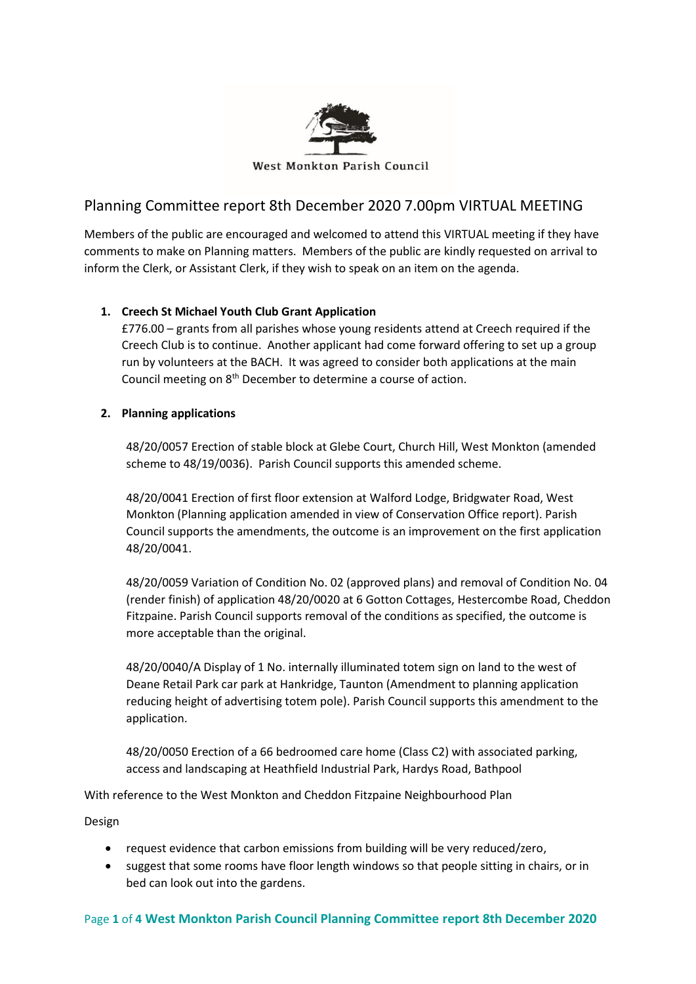

# Planning Committee report 8th December 2020 7.00pm VIRTUAL MEETING

Members of the public are encouraged and welcomed to attend this VIRTUAL meeting if they have comments to make on Planning matters. Members of the public are kindly requested on arrival to inform the Clerk, or Assistant Clerk, if they wish to speak on an item on the agenda.

# **1. Creech St Michael Youth Club Grant Application**

£776.00 – grants from all parishes whose young residents attend at Creech required if the Creech Club is to continue. Another applicant had come forward offering to set up a group run by volunteers at the BACH. It was agreed to consider both applications at the main Council meeting on 8th December to determine a course of action.

# **2. Planning applications**

48/20/0057 Erection of stable block at Glebe Court, Church Hill, West Monkton (amended scheme to 48/19/0036). Parish Council supports this amended scheme.

48/20/0041 Erection of first floor extension at Walford Lodge, Bridgwater Road, West Monkton (Planning application amended in view of Conservation Office report). Parish Council supports the amendments, the outcome is an improvement on the first application 48/20/0041.

48/20/0059 Variation of Condition No. 02 (approved plans) and removal of Condition No. 04 (render finish) of application 48/20/0020 at 6 Gotton Cottages, Hestercombe Road, Cheddon Fitzpaine. Parish Council supports removal of the conditions as specified, the outcome is more acceptable than the original.

48/20/0040/A Display of 1 No. internally illuminated totem sign on land to the west of Deane Retail Park car park at Hankridge, Taunton (Amendment to planning application reducing height of advertising totem pole). Parish Council supports this amendment to the application.

48/20/0050 Erection of a 66 bedroomed care home (Class C2) with associated parking, access and landscaping at Heathfield Industrial Park, Hardys Road, Bathpool

With reference to the West Monkton and Cheddon Fitzpaine Neighbourhood Plan

Design

- request evidence that carbon emissions from building will be very reduced/zero,
- suggest that some rooms have floor length windows so that people sitting in chairs, or in bed can look out into the gardens.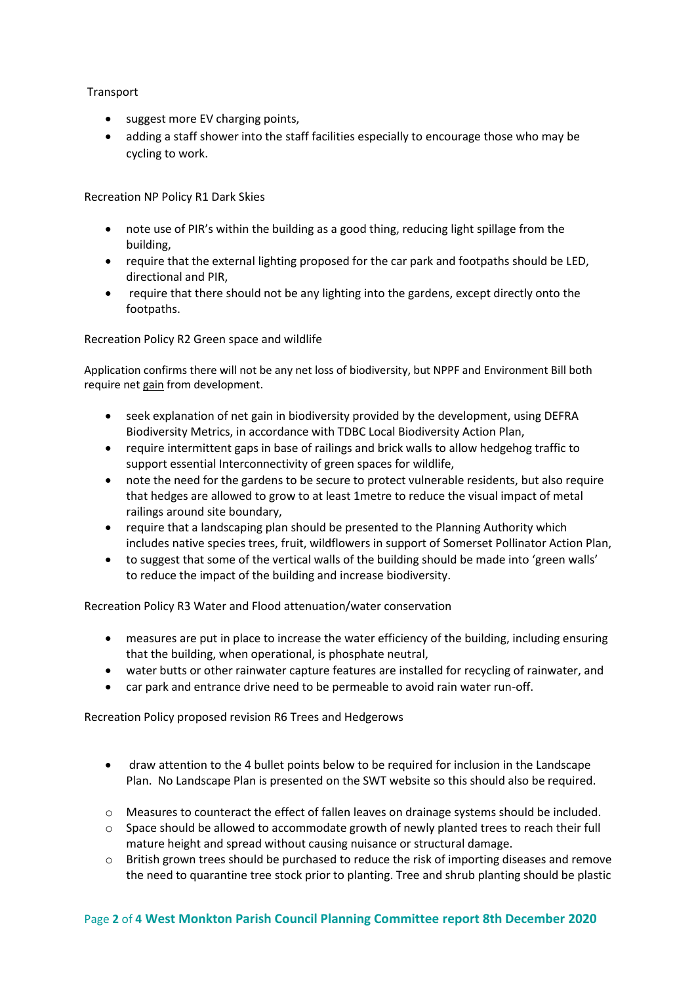# **Transport**

- suggest more EV charging points,
- adding a staff shower into the staff facilities especially to encourage those who may be cycling to work.

Recreation NP Policy R1 Dark Skies

- note use of PIR's within the building as a good thing, reducing light spillage from the building,
- require that the external lighting proposed for the car park and footpaths should be LED, directional and PIR,
- require that there should not be any lighting into the gardens, except directly onto the footpaths.

Recreation Policy R2 Green space and wildlife

Application confirms there will not be any net loss of biodiversity, but NPPF and Environment Bill both require net gain from development.

- seek explanation of net gain in biodiversity provided by the development, using DEFRA Biodiversity Metrics, in accordance with TDBC Local Biodiversity Action Plan,
- require intermittent gaps in base of railings and brick walls to allow hedgehog traffic to support essential Interconnectivity of green spaces for wildlife,
- note the need for the gardens to be secure to protect vulnerable residents, but also require that hedges are allowed to grow to at least 1metre to reduce the visual impact of metal railings around site boundary,
- require that a landscaping plan should be presented to the Planning Authority which includes native species trees, fruit, wildflowers in support of Somerset Pollinator Action Plan,
- to suggest that some of the vertical walls of the building should be made into 'green walls' to reduce the impact of the building and increase biodiversity.

Recreation Policy R3 Water and Flood attenuation/water conservation

- measures are put in place to increase the water efficiency of the building, including ensuring that the building, when operational, is phosphate neutral,
- water butts or other rainwater capture features are installed for recycling of rainwater, and
- car park and entrance drive need to be permeable to avoid rain water run-off.

Recreation Policy proposed revision R6 Trees and Hedgerows

- draw attention to the 4 bullet points below to be required for inclusion in the Landscape Plan. No Landscape Plan is presented on the SWT website so this should also be required.
- o Measures to counteract the effect of fallen leaves on drainage systems should be included.
- o Space should be allowed to accommodate growth of newly planted trees to reach their full mature height and spread without causing nuisance or structural damage.
- $\circ$  British grown trees should be purchased to reduce the risk of importing diseases and remove the need to quarantine tree stock prior to planting. Tree and shrub planting should be plastic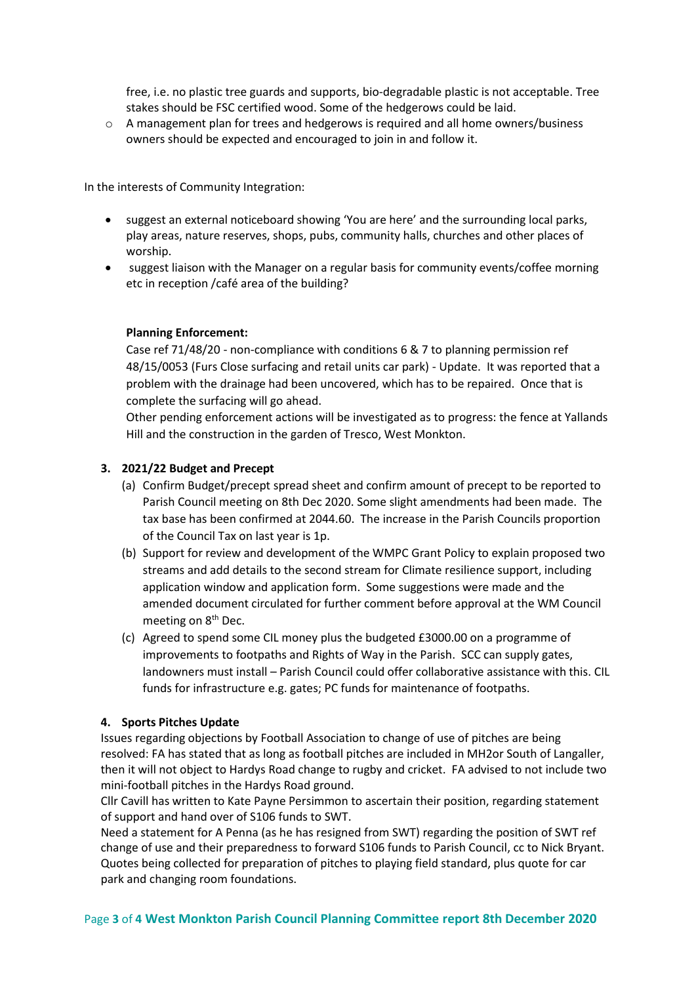free, i.e. no plastic tree guards and supports, bio-degradable plastic is not acceptable. Tree stakes should be FSC certified wood. Some of the hedgerows could be laid.

 $\circ$  A management plan for trees and hedgerows is required and all home owners/business owners should be expected and encouraged to join in and follow it.

In the interests of Community Integration:

- suggest an external noticeboard showing 'You are here' and the surrounding local parks, play areas, nature reserves, shops, pubs, community halls, churches and other places of worship.
- suggest liaison with the Manager on a regular basis for community events/coffee morning etc in reception /café area of the building?

# **Planning Enforcement:**

Case ref 71/48/20 - non-compliance with conditions 6 & 7 to planning permission ref 48/15/0053 (Furs Close surfacing and retail units car park) - Update. It was reported that a problem with the drainage had been uncovered, which has to be repaired. Once that is complete the surfacing will go ahead.

Other pending enforcement actions will be investigated as to progress: the fence at Yallands Hill and the construction in the garden of Tresco, West Monkton.

#### **3. 2021/22 Budget and Precept**

- (a) Confirm Budget/precept spread sheet and confirm amount of precept to be reported to Parish Council meeting on 8th Dec 2020. Some slight amendments had been made. The tax base has been confirmed at 2044.60. The increase in the Parish Councils proportion of the Council Tax on last year is 1p.
- (b) Support for review and development of the WMPC Grant Policy to explain proposed two streams and add details to the second stream for Climate resilience support, including application window and application form. Some suggestions were made and the amended document circulated for further comment before approval at the WM Council meeting on 8<sup>th</sup> Dec.
- (c) Agreed to spend some CIL money plus the budgeted £3000.00 on a programme of improvements to footpaths and Rights of Way in the Parish. SCC can supply gates, landowners must install – Parish Council could offer collaborative assistance with this. CIL funds for infrastructure e.g. gates; PC funds for maintenance of footpaths.

#### **4. Sports Pitches Update**

Issues regarding objections by Football Association to change of use of pitches are being resolved: FA has stated that as long as football pitches are included in MH2or South of Langaller, then it will not object to Hardys Road change to rugby and cricket. FA advised to not include two mini-football pitches in the Hardys Road ground.

Cllr Cavill has written to Kate Payne Persimmon to ascertain their position, regarding statement of support and hand over of S106 funds to SWT.

Need a statement for A Penna (as he has resigned from SWT) regarding the position of SWT ref change of use and their preparedness to forward S106 funds to Parish Council, cc to Nick Bryant. Quotes being collected for preparation of pitches to playing field standard, plus quote for car park and changing room foundations.